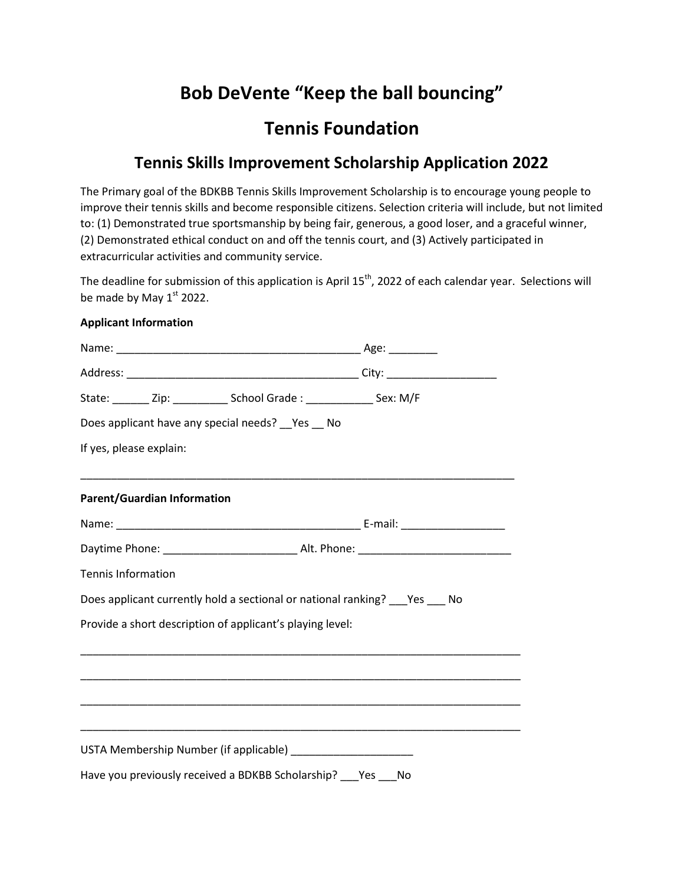# **Bob DeVente "Keep the ball bouncing"**

## **Tennis Foundation**

### **Tennis Skills Improvement Scholarship Application 2022**

The Primary goal of the BDKBB Tennis Skills Improvement Scholarship is to encourage young people to improve their tennis skills and become responsible citizens. Selection criteria will include, but not limited to: (1) Demonstrated true sportsmanship by being fair, generous, a good loser, and a graceful winner, (2) Demonstrated ethical conduct on and off the tennis court, and (3) Actively participated in extracurricular activities and community service.

The deadline for submission of this application is April  $15<sup>th</sup>$ , 2022 of each calendar year. Selections will be made by May  $1<sup>st</sup>$  2022.

#### **Applicant Information**

|                             | State: ________ Zip: ____________ School Grade : _______________ Sex: M/F     |                                                                                                                       |  |
|-----------------------------|-------------------------------------------------------------------------------|-----------------------------------------------------------------------------------------------------------------------|--|
|                             | Does applicant have any special needs? __ Yes __ No                           |                                                                                                                       |  |
| If yes, please explain:     |                                                                               |                                                                                                                       |  |
|                             |                                                                               |                                                                                                                       |  |
| Parent/Guardian Information |                                                                               |                                                                                                                       |  |
|                             |                                                                               |                                                                                                                       |  |
|                             |                                                                               |                                                                                                                       |  |
| Tennis Information          |                                                                               |                                                                                                                       |  |
|                             | Does applicant currently hold a sectional or national ranking? ___ Yes ___ No |                                                                                                                       |  |
|                             | Provide a short description of applicant's playing level:                     |                                                                                                                       |  |
|                             |                                                                               |                                                                                                                       |  |
|                             |                                                                               | <u> 1989 - Johann Harry Harry Harry Harry Harry Harry Harry Harry Harry Harry Harry Harry Harry Harry Harry Harry</u> |  |
|                             |                                                                               |                                                                                                                       |  |
|                             |                                                                               | <u> 1989 - Johann Stoff, amerikansk politiker (d. 1989)</u>                                                           |  |
|                             | USTA Membership Number (if applicable) _______________________                |                                                                                                                       |  |
|                             | Have you previously received a BDKBB Scholarship? ___ Yes ___ No              |                                                                                                                       |  |